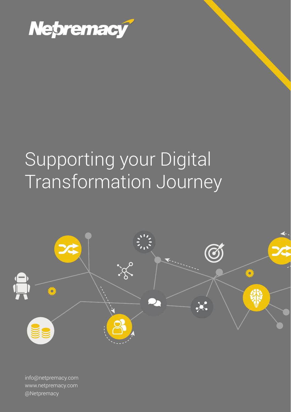

# Supporting your Digital Transformation Journey



info@netpremacy.com www.netpremacy.com @Netpremacy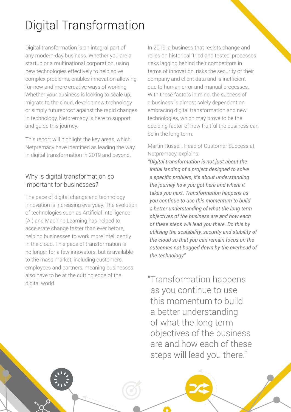# Digital Transformation

Digital transformation is an integral part of any modern-day business. Whether you are a startup or a multinational corporation, using new technologies effectively to help solve complex problems, enables innovation allowing for new and more creative ways of working. Whether your business is looking to scale up, migrate to the cloud, develop new technology or simply futureproof against the rapid changes in technology, Netpremacy is here to support and guide this journey.

This report will highlight the key areas, which Netpremacy have identified as leading the way in digital transformation in 2019 and beyond.

### Why is digital transformation so important for businesses?

The pace of digital change and technology innovation is increasing everyday. The evolution of technologies such as Artificial Intelligence (AI) and Machine Learning has helped to accelerate change faster than ever before, helping businesses to work more intelligently in the cloud. This pace of transformation is no longer for a few innovators, but is available to the mass market, including customers, employees and partners, meaning businesses also have to be at the cutting edge of the digital world.

In 2019, a business that resists change and relies on historical 'tried and tested' processes risks lagging behind their competitors in terms of innovation, risks the security of their company and client data and is inefficient due to human error and manual processes. With these factors in mind, the success of a business is almost solely dependant on embracing digital transformation and new technologies, which may prove to be the deciding factor of how fruitful the business can be in the long-term.

#### Martin Russell, Head of Customer Success at Netpremacy, explains:

*"Digital transformation is not just about the initial landing of a project designed to solve a specific problem, it's about understanding the journey how you got here and where it takes you next. Transformation happens as you continue to use this momentum to build a better understanding of what the long term objectives of the business are and how each of these steps will lead you there. Do this by utilising the scalability, security and stability of the cloud so that you can remain focus on the outcomes not bogged down by the overhead of the technology"*

"Transformation happens as you continue to use this momentum to build a better understanding of what the long term objectives of the business are and how each of these steps will lead you there."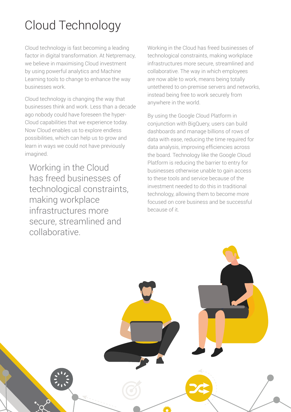# Cloud Technology

Cloud technology is fast becoming a leading factor in digital transformation. At Netpremacy, we believe in maximising Cloud investment by using powerful analytics and Machine Learning tools to change to enhance the way businesses work.

Cloud technology is changing the way that businesses think and work. Less than a decade ago nobody could have foreseen the hyper-Cloud capabilities that we experience today. Now Cloud enables us to explore endless possibilities, which can help us to grow and learn in ways we could not have previously imagined.

 Working in the Cloud has freed businesses of technological constraints, making workplace infrastructures more secure, streamlined and collaborative.

Working in the Cloud has freed businesses of technological constraints, making workplace infrastructures more secure, streamlined and collaborative. The way in which employees are now able to work, means being totally untethered to on-premise servers and networks, instead being free to work securely from anywhere in the world.

By using the Google Cloud Platform in conjunction with BigQuery, users can build dashboards and manage billions of rows of data with ease, reducing the time required for data analysis, improving efficiencies across the board. Technology like the Google Cloud Platform is reducing the barrier to entry for businesses otherwise unable to gain access to these tools and service because of the investment needed to do this in traditional technology, allowing them to become more focused on core business and be successful because of it.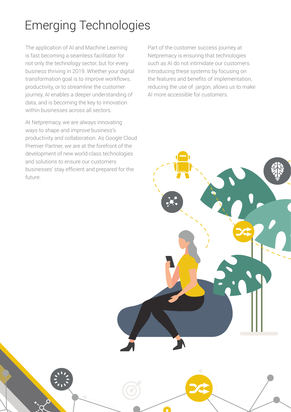# Emerging Technologies

The application of AI and Machine Learning is fast becoming a seamless facilitator for not only the technology sector, but for every business thriving in 2019. Whether your digital transformation goal is to improve workflows, productivity, or to streamline the customer journey, AI enables a deeper understanding of data, and is becoming the key to innovation within businesses across all sectors.

At Netpremacy, we are always innovating ways to shape and improve business's productivity and collaboration. As Google Cloud Premier Partner, we are at the forefront of the development of new world-class technologies and solutions to ensure our customers businesses' stay efficient and prepared for the future.

Part of the customer success journey at Netpremacy is ensuring that technologies such as AI do not intimidate our customers. Introducing these systems by focusing on the features and benefits of implementation, reducing the use of jargon, allows us to make AI more accessible for customers.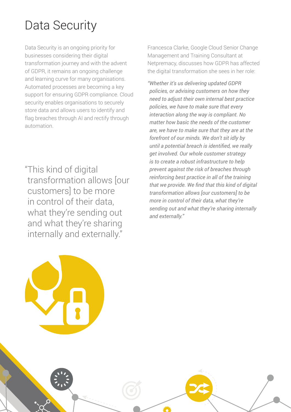## Data Security

Data Security is an ongoing priority for businesses considering their digital transformation journey and with the advent of GDPR, it remains an ongoing challenge and learning curve for many organisations. Automated processes are becoming a key support for ensuring GDPR compliance. Cloud security enables organisations to securely store data and allows users to identify and flag breaches through AI and rectify through automation.

"This kind of digital transformation allows [our customers] to be more in control of their data, what they're sending out and what they're sharing internally and externally."

Francesca Clarke, Google Cloud Senior Change Management and Training Consultant at Netpremacy, discusses how GDPR has affected the digital transformation she sees in her role:

*"Whether it's us delivering updated GDPR policies, or advising customers on how they need to adjust their own internal best practice policies, we have to make sure that every interaction along the way is compliant. No matter how basic the needs of the customer are, we have to make sure that they are at the forefront of our minds. We don't sit idly by until a potential breach is identified, we really get involved. Our whole customer strategy is to create a robust infrastructure to help prevent against the risk of breaches through reinforcing best practice in all of the training that we provide. We find that this kind of digital transformation allows [our customers] to be more in control of their data, what they're sending out and what they're sharing internally and externally."*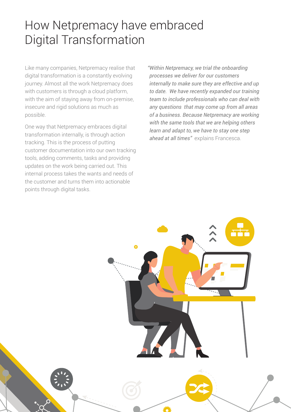### How Netpremacy have embraced Digital Transformation

Like many companies, Netpremacy realise that digital transformation is a constantly evolving journey. Almost all the work Netpremacy does with customers is through a cloud platform, with the aim of staying away from on-premise, insecure and rigid solutions as much as possible.

One way that Netpremacy embraces digital transformation internally, is through action tracking. This is the process of putting customer documentation into our own tracking tools, adding comments, tasks and providing updates on the work being carried out. This internal process takes the wants and needs of the customer and turns them into actionable points through digital tasks.

*"Within Netpremacy, we trial the onboarding processes we deliver for our customers internally to make sure they are effective and up to date. We have recently expanded our training team to include professionals who can deal with any questions that may come up from all areas of a business. Because Netpremacy are working with the same tools that we are helping others learn and adapt to, we have to stay one step ahead at all times"* explains Francesca.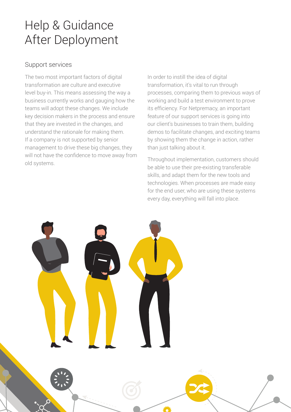### Help & Guidance After Deployment

#### Support services

The two most important factors of digital transformation are culture and executive level buy-in. This means assessing the way a business currently works and gauging how the teams will adopt these changes. We include key decision makers in the process and ensure that they are invested in the changes, and understand the rationale for making them. If a company is not supported by senior management to drive these big changes, they will not have the confidence to move away from old systems.

In order to instill the idea of digital transformation, it's vital to run through processes, comparing them to previous ways of working and build a test environment to prove its efficiency. For Netpremacy, an important feature of our support services is going into our client's businesses to train them, building demos to facilitate changes, and exciting teams by showing them the change in action, rather than just talking about it.

Throughout implementation, customers should be able to use their pre-existing transferable skills, and adapt them for the new tools and technologies. When processes are made easy for the end user, who are using these systems every day, everything will fall into place.

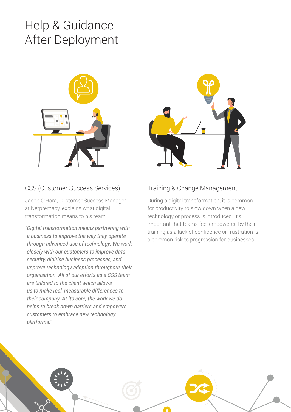### Help & Guidance After Deployment



### CSS (Customer Success Services)

Jacob O'Hara, Customer Success Manager at Netpremacy, explains what digital transformation means to his team:

*"Digital transformation means partnering with a business to improve the way they operate through advanced use of technology. We work closely with our customers to improve data security, digitise business processes, and improve technology adoption throughout their organisation. All of our efforts as a CSS team are tailored to the client which allows us to make real, measurable differences to their company. At its core, the work we do helps to break down barriers and empowers customers to embrace new technology platforms."*



### Training & Change Management

During a digital transformation, it is common for productivity to slow down when a new technology or process is introduced. It's important that teams feel empowered by their training as a lack of confidence or frustration is a common risk to progression for businesses.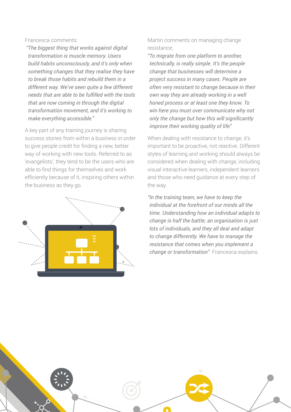#### Francesca comments:

 *"The biggest thing that works against digital transformation is muscle memory. Users build habits unconsciously, and it's only when something changes that they realise they have to break those habits and rebuild them in a different way. We've seen quite a few different needs that are able to be fulfilled with the tools that are now coming in through the digital transformation movement, and it's working to make everything accessible."*

A key part of any training journey is sharing success stories from within a business in order to give people credit for finding a new, better way of working with new tools. Referred to as 'evangelists', they tend to be the users who are able to find things for themselves and work efficiently because of it, inspiring others within the business as they go.



Martin comments on managing change resistance;

*"To migrate from one platform to another, technically, is really simple. It's the people change that businesses will determine a project success in many cases. People are often very resistant to change because in their own way they are already working in a well honed process or at least one they know. To win here you must over communicate why not only the change but how this will significantly improve their working quality of life"*

When dealing with resistance to change, it's important to be proactive, not reactive. Different styles of learning and working should always be considered when dealing with change, including visual interactive learners, independent learners and those who need guidance at every step of the way.

*"In the training team, we have to keep the individual at the forefront of our minds all the time. Understanding how an individual adapts to change is half the battle; an organisation is just lots of individuals, and they all deal and adapt to change differently. We have to manage the resistance that comes when you implement a change or transformation"* Francesca explains.